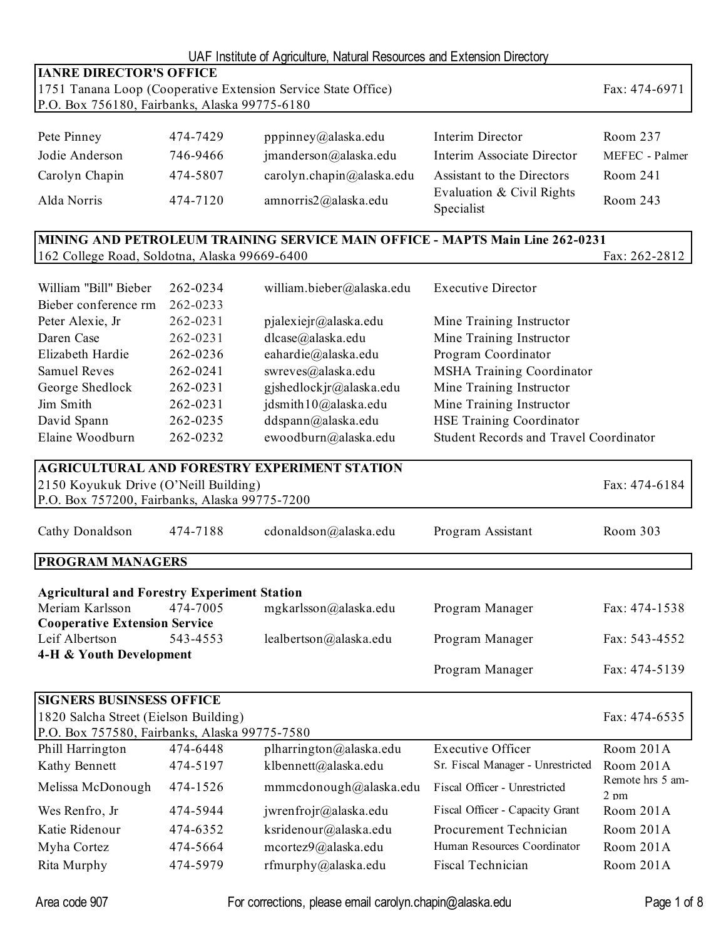|                                                               |          | UAF Institute of Agriculture, Natural Resources and Extension Directory      |                                               |                  |  |
|---------------------------------------------------------------|----------|------------------------------------------------------------------------------|-----------------------------------------------|------------------|--|
| <b>IANRE DIRECTOR'S OFFICE</b>                                |          |                                                                              |                                               |                  |  |
| 1751 Tanana Loop (Cooperative Extension Service State Office) |          |                                                                              |                                               |                  |  |
| P.O. Box 756180, Fairbanks, Alaska 99775-6180                 |          |                                                                              |                                               |                  |  |
| Pete Pinney                                                   | 474-7429 | pppinney@alaska.edu                                                          | Interim Director                              | Room 237         |  |
| Jodie Anderson                                                | 746-9466 | jmanderson@alaska.edu                                                        | Interim Associate Director                    | MEFEC - Palmer   |  |
|                                                               | 474-5807 |                                                                              | Assistant to the Directors                    | Room 241         |  |
| Carolyn Chapin                                                |          | carolyn.chapin@alaska.edu                                                    |                                               |                  |  |
| Alda Norris                                                   | 474-7120 | amnorris2@alaska.edu                                                         | Evaluation & Civil Rights<br>Specialist       | Room 243         |  |
|                                                               |          | MINING AND PETROLEUM TRAINING SERVICE MAIN OFFICE - MAPTS Main Line 262-0231 |                                               |                  |  |
| 162 College Road, Soldotna, Alaska 99669-6400                 |          |                                                                              |                                               | Fax: 262-2812    |  |
|                                                               |          |                                                                              |                                               |                  |  |
| William "Bill" Bieber                                         | 262-0234 | william.bieber@alaska.edu                                                    | <b>Executive Director</b>                     |                  |  |
| Bieber conference rm                                          | 262-0233 |                                                                              |                                               |                  |  |
| Peter Alexie, Jr                                              | 262-0231 | pjalexiejr@alaska.edu                                                        | Mine Training Instructor                      |                  |  |
| Daren Case                                                    | 262-0231 | dlcase@alaska.edu                                                            | Mine Training Instructor                      |                  |  |
| Elizabeth Hardie                                              | 262-0236 | eahardie@alaska.edu                                                          | Program Coordinator                           |                  |  |
| <b>Samuel Reves</b>                                           | 262-0241 | swreves@alaska.edu                                                           | <b>MSHA Training Coordinator</b>              |                  |  |
| George Shedlock                                               | 262-0231 | gjshedlockjr@alaska.edu                                                      | Mine Training Instructor                      |                  |  |
| Jim Smith                                                     | 262-0231 | jdsmith10@alaska.edu                                                         | Mine Training Instructor                      |                  |  |
| David Spann                                                   | 262-0235 | ddspann@alaska.edu                                                           | <b>HSE Training Coordinator</b>               |                  |  |
| Elaine Woodburn                                               | 262-0232 | ewoodburn@alaska.edu                                                         | <b>Student Records and Travel Coordinator</b> |                  |  |
|                                                               |          | <b>AGRICULTURAL AND FORESTRY EXPERIMENT STATION</b>                          |                                               |                  |  |
| 2150 Koyukuk Drive (O'Neill Building)                         |          |                                                                              |                                               | Fax: 474-6184    |  |
| P.O. Box 757200, Fairbanks, Alaska 99775-7200                 |          |                                                                              |                                               |                  |  |
|                                                               |          |                                                                              |                                               |                  |  |
| Cathy Donaldson                                               | 474-7188 | cdonaldson@alaska.edu                                                        | Program Assistant                             | Room 303         |  |
| <b>PROGRAM MANAGERS</b>                                       |          |                                                                              |                                               |                  |  |
|                                                               |          |                                                                              |                                               |                  |  |
| <b>Agricultural and Forestry Experiment Station</b>           |          |                                                                              |                                               |                  |  |
| Meriam Karlsson                                               | 474-7005 | mgkarlsson@alaska.edu                                                        | Program Manager                               | Fax: 474-1538    |  |
| <b>Cooperative Extension Service</b>                          |          |                                                                              |                                               |                  |  |
| Leif Albertson                                                | 543-4553 | lealbertson@alaska.edu                                                       | Program Manager                               | Fax: 543-4552    |  |
| 4-H & Youth Development                                       |          |                                                                              |                                               |                  |  |
|                                                               |          |                                                                              | Program Manager                               | Fax: 474-5139    |  |
| <b>SIGNERS BUSINSESS OFFICE</b>                               |          |                                                                              |                                               |                  |  |
| 1820 Salcha Street (Eielson Building)                         |          |                                                                              |                                               | Fax: 474-6535    |  |
| P.O. Box 757580, Fairbanks, Alaska 99775-7580                 |          |                                                                              |                                               |                  |  |
| Phill Harrington                                              | 474-6448 | plharrington@alaska.edu                                                      | <b>Executive Officer</b>                      | Room 201A        |  |
| Kathy Bennett                                                 | 474-5197 | klbennett@alaska.edu                                                         | Sr. Fiscal Manager - Unrestricted             | Room 201A        |  |
| Melissa McDonough                                             | 474-1526 | mmmcdonough@alaska.edu                                                       | Fiscal Officer - Unrestricted                 | Remote hrs 5 am- |  |
|                                                               |          |                                                                              | Fiscal Officer - Capacity Grant               | $2 \text{ pm}$   |  |
| Wes Renfro, Jr                                                | 474-5944 | jwrenfrojr@alaska.edu                                                        |                                               | Room 201A        |  |
| Katie Ridenour                                                | 474-6352 | ksridenour@alaska.edu                                                        | Procurement Technician                        | Room 201A        |  |
| Myha Cortez                                                   | 474-5664 | mcortez9@alaska.edu                                                          | Human Resources Coordinator                   | Room 201A        |  |
| Rita Murphy                                                   | 474-5979 | rfmurphy@alaska.edu                                                          | Fiscal Technician                             | Room 201A        |  |

Area code 907 For corrections, please email carolyn.chapin@alaska.edu Page 1 of 8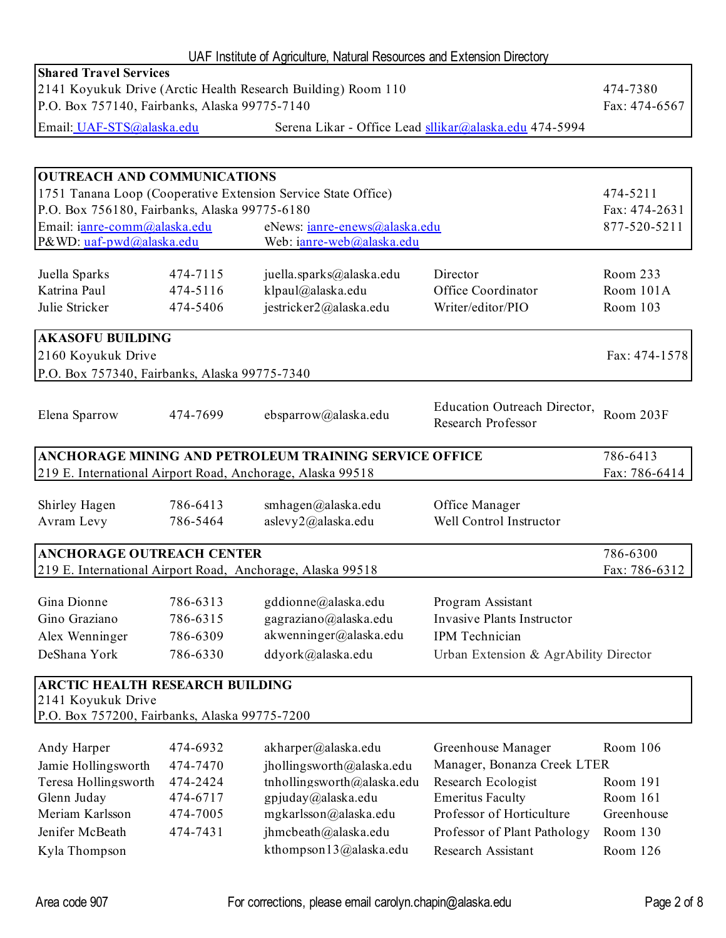| UAF Institute of Agriculture, Natural Resources and Extension Directory                                                                         |                                                                  |                                                               |                                                        |                      |  |
|-------------------------------------------------------------------------------------------------------------------------------------------------|------------------------------------------------------------------|---------------------------------------------------------------|--------------------------------------------------------|----------------------|--|
| <b>Shared Travel Services</b><br>2141 Koyukuk Drive (Arctic Health Research Building) Room 110<br>P.O. Box 757140, Fairbanks, Alaska 99775-7140 |                                                                  |                                                               |                                                        |                      |  |
|                                                                                                                                                 |                                                                  |                                                               |                                                        | Fax: 474-6567        |  |
| Email: UAF-STS@alaska.edu                                                                                                                       |                                                                  |                                                               | Serena Likar - Office Lead sllikar@alaska.edu 474-5994 |                      |  |
|                                                                                                                                                 |                                                                  |                                                               |                                                        |                      |  |
| <b>OUTREACH AND COMMUNICATIONS</b>                                                                                                              |                                                                  |                                                               |                                                        |                      |  |
|                                                                                                                                                 |                                                                  | 1751 Tanana Loop (Cooperative Extension Service State Office) |                                                        | 474-5211             |  |
| P.O. Box 756180, Fairbanks, Alaska 99775-6180                                                                                                   |                                                                  |                                                               |                                                        | Fax: 474-2631        |  |
| Email: ianre-comm@alaska.edu                                                                                                                    |                                                                  | eNews: ianre-enews@alaska.edu                                 |                                                        | 877-520-5211         |  |
| P&WD: uaf-pwd@alaska.edu                                                                                                                        |                                                                  | Web: ianre-web@alaska.edu                                     |                                                        |                      |  |
| Juella Sparks                                                                                                                                   | 474-7115                                                         | juella.sparks@alaska.edu                                      | Director                                               | Room 233             |  |
| Katrina Paul                                                                                                                                    | 474-5116                                                         | klpaul@alaska.edu                                             | Office Coordinator                                     | Room 101A            |  |
| Julie Stricker                                                                                                                                  | 474-5406                                                         | jestricker2@alaska.edu                                        | Writer/editor/PIO                                      | Room 103             |  |
|                                                                                                                                                 |                                                                  |                                                               |                                                        |                      |  |
| <b>AKASOFU BUILDING</b>                                                                                                                         |                                                                  |                                                               |                                                        |                      |  |
| 2160 Koyukuk Drive                                                                                                                              |                                                                  |                                                               |                                                        | Fax: 474-1578        |  |
| P.O. Box 757340, Fairbanks, Alaska 99775-7340                                                                                                   |                                                                  |                                                               |                                                        |                      |  |
| Elena Sparrow                                                                                                                                   | 474-7699                                                         | ebsparrow@alaska.edu                                          | Education Outreach Director,<br>Research Professor     | Room 203F            |  |
| ANCHORAGE MINING AND PETROLEUM TRAINING SERVICE OFFICE                                                                                          |                                                                  |                                                               |                                                        |                      |  |
| 786-6413<br>219 E. International Airport Road, Anchorage, Alaska 99518                                                                          |                                                                  |                                                               |                                                        |                      |  |
|                                                                                                                                                 |                                                                  |                                                               |                                                        | Fax: 786-6414        |  |
| Shirley Hagen                                                                                                                                   | 786-6413                                                         | smhagen@alaska.edu                                            | Office Manager                                         |                      |  |
| Avram Levy                                                                                                                                      | 786-5464                                                         | aslevy2@alaska.edu                                            | Well Control Instructor                                |                      |  |
|                                                                                                                                                 |                                                                  |                                                               |                                                        |                      |  |
| <b>ANCHORAGE OUTREACH CENTER</b>                                                                                                                |                                                                  |                                                               |                                                        | 786-6300             |  |
| 219 E. International Airport Road, Anchorage, Alaska 99518                                                                                      |                                                                  |                                                               |                                                        | Fax: 786-6312        |  |
| Gina Dionne                                                                                                                                     | 786-6313                                                         | gddionne@alaska.edu                                           | Program Assistant                                      |                      |  |
| Gino Graziano                                                                                                                                   | 786-6315                                                         | gagraziano@alaska.edu                                         | <b>Invasive Plants Instructor</b>                      |                      |  |
| Alex Wenninger                                                                                                                                  | 786-6309                                                         | akwenninger@alaska.edu                                        | IPM Technician                                         |                      |  |
| DeShana York                                                                                                                                    | 786-6330                                                         | ddyork@alaska.edu                                             | Urban Extension & AgrAbility Director                  |                      |  |
|                                                                                                                                                 |                                                                  |                                                               |                                                        |                      |  |
| <b>ARCTIC HEALTH RESEARCH BUILDING</b>                                                                                                          |                                                                  |                                                               |                                                        |                      |  |
| 2141 Koyukuk Drive                                                                                                                              |                                                                  |                                                               |                                                        |                      |  |
| P.O. Box 757200, Fairbanks, Alaska 99775-7200                                                                                                   |                                                                  |                                                               |                                                        |                      |  |
| Andy Harper                                                                                                                                     | 474-6932                                                         | akharper@alaska.edu                                           | Greenhouse Manager                                     | Room 106             |  |
| Jamie Hollingsworth                                                                                                                             | 474-7470                                                         | jhollingsworth@alaska.edu                                     | Manager, Bonanza Creek LTER                            |                      |  |
| Teresa Hollingsworth                                                                                                                            | 474-2424                                                         | tnhollingsworth@alaska.edu                                    | Research Ecologist                                     | Room 191             |  |
| Glenn Juday                                                                                                                                     | 474-6717                                                         | gpjuday@alaska.edu                                            | <b>Emeritus Faculty</b>                                | Room 161             |  |
| Meriam Karlsson                                                                                                                                 | 474-7005                                                         | mgkarlsson@alaska.edu                                         | Professor of Horticulture                              | Greenhouse           |  |
| Jenifer McBeath                                                                                                                                 | 474-7431<br>jhmcbeath@alaska.edu<br>Professor of Plant Pathology |                                                               |                                                        |                      |  |
| Kyla Thompson                                                                                                                                   |                                                                  | kthompson13@alaska.edu                                        | Research Assistant                                     | Room 130<br>Room 126 |  |
|                                                                                                                                                 |                                                                  |                                                               |                                                        |                      |  |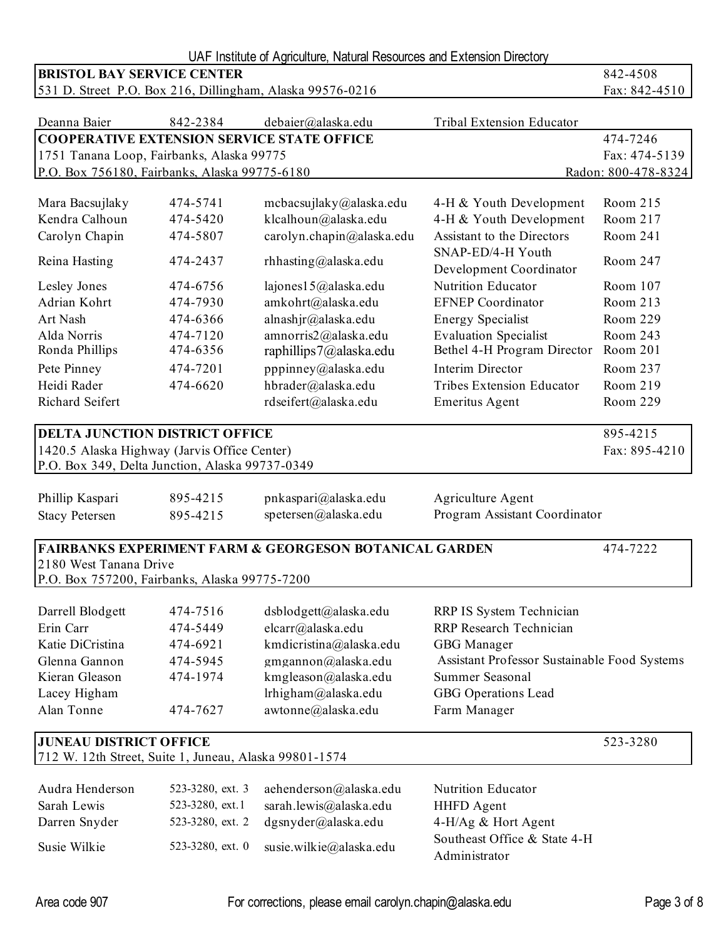| UAF Institute of Agriculture, Natural Resources and Extension Directory       |                  |                           |                                              |                     |  |
|-------------------------------------------------------------------------------|------------------|---------------------------|----------------------------------------------|---------------------|--|
| <b>BRISTOL BAY SERVICE CENTER</b>                                             | 842-4508         |                           |                                              |                     |  |
| 531 D. Street P.O. Box 216, Dillingham, Alaska 99576-0216                     |                  |                           |                                              | Fax: 842-4510       |  |
|                                                                               |                  |                           |                                              |                     |  |
| Deanna Baier                                                                  | 842-2384         | debaier@alaska.edu        | Tribal Extension Educator                    |                     |  |
| <b>COOPERATIVE EXTENSION SERVICE STATE OFFICE</b>                             |                  |                           |                                              | 474-7246            |  |
| 1751 Tanana Loop, Fairbanks, Alaska 99775                                     |                  |                           |                                              | Fax: 474-5139       |  |
| P.O. Box 756180, Fairbanks, Alaska 99775-6180                                 |                  |                           |                                              | Radon: 800-478-8324 |  |
| Mara Bacsujlaky                                                               | 474-5741         | mcbacsujlaky@alaska.edu   | 4-H & Youth Development                      | Room 215            |  |
| Kendra Calhoun                                                                | 474-5420         | klcalhoun@alaska.edu      | 4-H & Youth Development                      | Room 217            |  |
| Carolyn Chapin                                                                | 474-5807         | carolyn.chapin@alaska.edu | Assistant to the Directors                   | Room 241            |  |
|                                                                               |                  |                           | SNAP-ED/4-H Youth                            |                     |  |
| Reina Hasting                                                                 | 474-2437         | rhhasting@alaska.edu      | Development Coordinator                      | Room 247            |  |
| Lesley Jones                                                                  | 474-6756         | lajones15@alaska.edu      | Nutrition Educator                           | Room 107            |  |
| Adrian Kohrt                                                                  | 474-7930         | amkohrt@alaska.edu        | <b>EFNEP</b> Coordinator                     | Room 213            |  |
| Art Nash                                                                      | 474-6366         | alnashjr@alaska.edu       | <b>Energy Specialist</b>                     | Room 229            |  |
| Alda Norris                                                                   | 474-7120         | amnorris2@alaska.edu      | <b>Evaluation Specialist</b>                 | Room 243            |  |
| Ronda Phillips                                                                | 474-6356         | raphillips7@alaska.edu    | Bethel 4-H Program Director                  | Room 201            |  |
| Pete Pinney                                                                   | 474-7201         | pppinney@alaska.edu       | Interim Director                             | Room 237            |  |
| Heidi Rader                                                                   | 474-6620         | hbrader@alaska.edu        | <b>Tribes Extension Educator</b>             | Room 219            |  |
| Richard Seifert                                                               |                  | rdseifert@alaska.edu      | <b>Emeritus Agent</b>                        | Room 229            |  |
| <b>DELTA JUNCTION DISTRICT OFFICE</b>                                         | 895-4215         |                           |                                              |                     |  |
| 1420.5 Alaska Highway (Jarvis Office Center)                                  |                  |                           |                                              | Fax: 895-4210       |  |
| P.O. Box 349, Delta Junction, Alaska 99737-0349                               |                  |                           |                                              |                     |  |
|                                                                               |                  |                           |                                              |                     |  |
| Phillip Kaspari                                                               | 895-4215         | pnkaspari@alaska.edu      | Agriculture Agent                            |                     |  |
| <b>Stacy Petersen</b>                                                         | 895-4215         | spetersen@alaska.edu      | Program Assistant Coordinator                |                     |  |
|                                                                               |                  |                           |                                              |                     |  |
| <b>FAIRBANKS EXPERIMENT FARM &amp; GEORGESON BOTANICAL GARDEN</b><br>474-7222 |                  |                           |                                              |                     |  |
| 2180 West Tanana Drive                                                        |                  |                           |                                              |                     |  |
| P.O. Box 757200, Fairbanks, Alaska 99775-7200                                 |                  |                           |                                              |                     |  |
| Darrell Blodgett                                                              | 474-7516         | dsblodgett@alaska.edu     | RRP IS System Technician                     |                     |  |
| Erin Carr                                                                     | 474-5449         | elcarr@alaska.edu         | RRP Research Technician                      |                     |  |
| Katie DiCristina                                                              | 474-6921         | kmdicristina@alaska.edu   | GBG Manager                                  |                     |  |
| Glenna Gannon                                                                 | 474-5945         | gmgannon@alaska.edu       | Assistant Professor Sustainable Food Systems |                     |  |
| Kieran Gleason                                                                | 474-1974         | kmgleason@alaska.edu      | Summer Seasonal                              |                     |  |
| Lacey Higham                                                                  |                  | lrhigham@alaska.edu       | GBG Operations Lead                          |                     |  |
| Alan Tonne                                                                    | 474-7627         | awtonne@alaska.edu        | Farm Manager                                 |                     |  |
|                                                                               |                  |                           |                                              |                     |  |
| <b>JUNEAU DISTRICT OFFICE</b><br>523-3280                                     |                  |                           |                                              |                     |  |
| 712 W. 12th Street, Suite 1, Juneau, Alaska 99801-1574                        |                  |                           |                                              |                     |  |
| Audra Henderson                                                               | 523-3280, ext. 3 | aehenderson@alaska.edu    | <b>Nutrition Educator</b>                    |                     |  |
| Sarah Lewis                                                                   | 523-3280, ext.1  | sarah.lewis@alaska.edu    | <b>HHFD</b> Agent                            |                     |  |
| Darren Snyder                                                                 | 523-3280, ext. 2 | dgsnyder@alaska.edu       | 4-H/Ag & Hort Agent                          |                     |  |
|                                                                               |                  |                           | Southeast Office & State 4-H                 |                     |  |
| Susie Wilkie                                                                  | 523-3280, ext. 0 | susie.wilkie@alaska.edu   | Administrator                                |                     |  |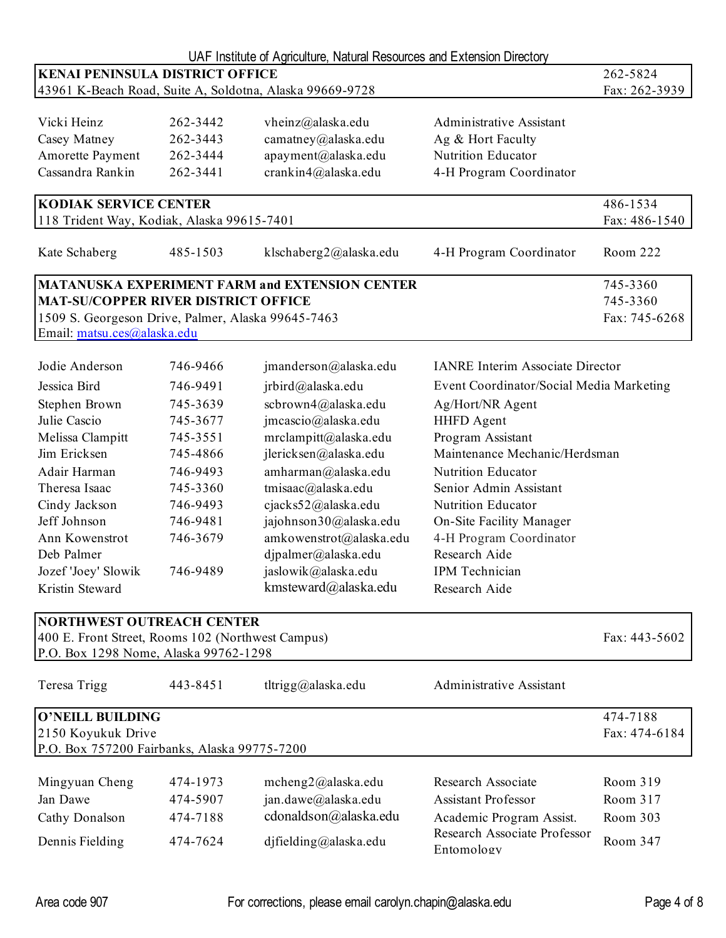|                                                          |               | UAF Institute of Agriculture, Natural Resources and Extension Directory |                                                          |               |
|----------------------------------------------------------|---------------|-------------------------------------------------------------------------|----------------------------------------------------------|---------------|
| <b>KENAI PENINSULA DISTRICT OFFICE</b>                   | 262-5824      |                                                                         |                                                          |               |
| 43961 K-Beach Road, Suite A, Soldotna, Alaska 99669-9728 | Fax: 262-3939 |                                                                         |                                                          |               |
|                                                          |               |                                                                         |                                                          |               |
| Vicki Heinz                                              | 262-3442      | vheinz@alaska.edu                                                       | <b>Administrative Assistant</b>                          |               |
| Casey Matney                                             | 262-3443      | camatney@alaska.edu                                                     | Ag & Hort Faculty                                        |               |
| Amorette Payment                                         | 262-3444      | apayment@alaska.edu                                                     | <b>Nutrition Educator</b>                                |               |
| Cassandra Rankin                                         | 262-3441      | crankin4@alaska.edu                                                     | 4-H Program Coordinator                                  |               |
| <b>KODIAK SERVICE CENTER</b>                             |               |                                                                         |                                                          | 486-1534      |
| 118 Trident Way, Kodiak, Alaska 99615-7401               |               |                                                                         |                                                          | Fax: 486-1540 |
| Kate Schaberg                                            | 485-1503      | klschaberg2@alaska.edu                                                  | 4-H Program Coordinator                                  | Room 222      |
|                                                          |               | <b>MATANUSKA EXPERIMENT FARM and EXTENSION CENTER</b>                   |                                                          | 745-3360      |
| <b>MAT-SU/COPPER RIVER DISTRICT OFFICE</b>               |               |                                                                         |                                                          | 745-3360      |
| 1509 S. Georgeson Drive, Palmer, Alaska 99645-7463       |               |                                                                         |                                                          | Fax: 745-6268 |
| Email: matsu.ces@alaska.edu                              |               |                                                                         |                                                          |               |
| Jodie Anderson                                           | 746-9466      | jmanderson@alaska.edu                                                   | <b>IANRE</b> Interim Associate Director                  |               |
| Jessica Bird                                             | 746-9491      | jrbird@alaska.edu                                                       | Event Coordinator/Social Media Marketing                 |               |
| Stephen Brown                                            | 745-3639      | scbrown4@alaska.edu                                                     | Ag/Hort/NR Agent                                         |               |
| Julie Cascio                                             | 745-3677      | jmcascio@alaska.edu                                                     | <b>HHFD</b> Agent                                        |               |
| Melissa Clampitt                                         | 745-3551      | mrclampitt@alaska.edu                                                   | Program Assistant                                        |               |
| Jim Ericksen                                             | 745-4866      | jlericksen@alaska.edu                                                   | Maintenance Mechanic/Herdsman                            |               |
| Adair Harman                                             | 746-9493      | amharman@alaska.edu                                                     | <b>Nutrition Educator</b>                                |               |
| Theresa Isaac                                            | 745-3360      | tmisaac@alaska.edu                                                      | Senior Admin Assistant                                   |               |
| Cindy Jackson                                            | 746-9493      | cjacks52@alaska.edu                                                     | Nutrition Educator                                       |               |
| Jeff Johnson                                             | 746-9481      | jajohnson30@alaska.edu                                                  | On-Site Facility Manager                                 |               |
| Ann Kowenstrot                                           | 746-3679      | amkowenstrot@alaska.edu                                                 | 4-H Program Coordinator                                  |               |
| Deb Palmer                                               |               | dipalmer@alaska.edu                                                     | Research Aide                                            |               |
| Jozef 'Joey' Slowik                                      | 746-9489      | jaslowik@alaska.edu                                                     | IPM Technician                                           |               |
|                                                          |               | kmsteward@alaska.edu                                                    |                                                          |               |
| Kristin Steward                                          |               |                                                                         | Research Aide                                            |               |
| <b>NORTHWEST OUTREACH CENTER</b>                         |               |                                                                         |                                                          |               |
| 400 E. Front Street, Rooms 102 (Northwest Campus)        |               |                                                                         |                                                          | Fax: 443-5602 |
| P.O. Box 1298 Nome, Alaska 99762-1298                    |               |                                                                         |                                                          |               |
| Teresa Trigg                                             | 443-8451      | tltrigg@alaska.edu                                                      | <b>Administrative Assistant</b>                          |               |
| O'NEILL BUILDING                                         |               |                                                                         |                                                          | 474-7188      |
| 2150 Koyukuk Drive                                       |               |                                                                         |                                                          | Fax: 474-6184 |
| P.O. Box 757200 Fairbanks, Alaska 99775-7200             |               |                                                                         |                                                          |               |
| Mingyuan Cheng                                           | 474-1973      | mcheng2@alaska.edu                                                      | Research Associate                                       | Room 319      |
| Jan Dawe                                                 |               |                                                                         | <b>Assistant Professor</b>                               | Room 317      |
|                                                          | 474-5907      | jan.dawe@alaska.edu                                                     |                                                          |               |
| Cathy Donalson                                           | 474-7188      | cdonaldson@alaska.edu                                                   | Academic Program Assist.<br>Research Associate Professor | Room 303      |
| Dennis Fielding                                          | 474-7624      | djfielding@alaska.edu                                                   | Entomology                                               | Room 347      |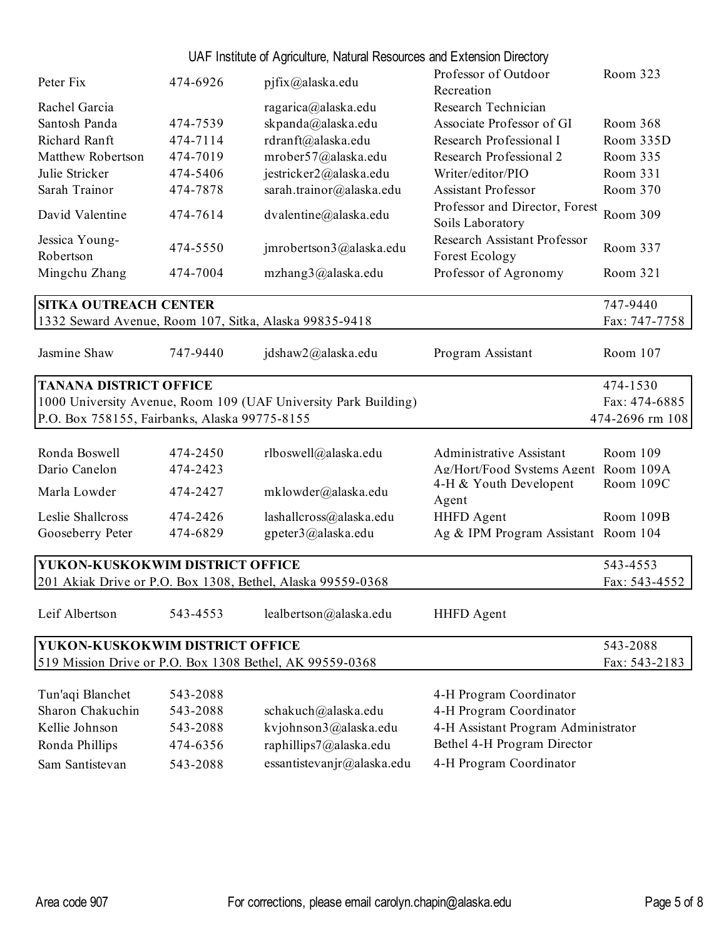| UAF Institute of Agriculture, Natural Resources and Extension Directory |
|-------------------------------------------------------------------------|
|-------------------------------------------------------------------------|

| Peter Fix                                                       | 474-6926 | pjfix@alaska.edu                                            | Professor of Outdoor<br>Recreation                    | Room 323        |
|-----------------------------------------------------------------|----------|-------------------------------------------------------------|-------------------------------------------------------|-----------------|
| Rachel Garcia                                                   |          | ragarica@alaska.edu                                         | Research Technician                                   |                 |
| Santosh Panda                                                   | 474-7539 | skpanda@alaska.edu                                          | Associate Professor of GI                             | Room 368        |
| Richard Ranft                                                   | 474-7114 | rdranft@alaska.edu                                          | Research Professional I                               | Room 335D       |
| Matthew Robertson                                               | 474-7019 | mrober57@alaska.edu                                         | Research Professional 2                               | Room 335        |
| Julie Stricker                                                  | 474-5406 | jestricker2@alaska.edu                                      | Writer/editor/PIO                                     | Room 331        |
| Sarah Trainor                                                   | 474-7878 | sarah.trainor@alaska.edu                                    | <b>Assistant Professor</b>                            | Room 370        |
| David Valentine                                                 | 474-7614 | dvalentine@alaska.edu                                       | Professor and Director, Forest<br>Soils Laboratory    | Room 309        |
| Jessica Young-<br>Robertson                                     | 474-5550 | jmrobertson3@alaska.edu                                     | Research Assistant Professor<br><b>Forest Ecology</b> | Room 337        |
| Mingchu Zhang                                                   | 474-7004 | mzhang3@alaska.edu                                          | Professor of Agronomy                                 | Room 321        |
| <b>SITKA OUTREACH CENTER</b>                                    |          |                                                             |                                                       | 747-9440        |
|                                                                 |          | 1332 Seward Avenue, Room 107, Sitka, Alaska 99835-9418      |                                                       | Fax: 747-7758   |
| Jasmine Shaw                                                    | 747-9440 | jdshaw2@alaska.edu                                          | Program Assistant                                     | Room 107        |
| <b>TANANA DISTRICT OFFICE</b>                                   |          |                                                             |                                                       | 474-1530        |
| 1000 University Avenue, Room 109 (UAF University Park Building) |          |                                                             |                                                       | Fax: 474-6885   |
| P.O. Box 758155, Fairbanks, Alaska 99775-8155                   |          |                                                             |                                                       | 474-2696 rm 108 |
|                                                                 |          |                                                             |                                                       |                 |
| Ronda Boswell                                                   | 474-2450 | rlboswell@alaska.edu                                        | <b>Administrative Assistant</b>                       | Room 109        |
| Dario Canelon                                                   | 474-2423 |                                                             | Ag/Hort/Food Systems Agent Room 109A                  |                 |
| Marla Lowder                                                    | 474-2427 | mklowder@alaska.edu                                         | 4-H & Youth Developent<br>Agent                       | Room 109C       |
| Leslie Shallcross                                               | 474-2426 | lashallcross@alaska.edu                                     | <b>HHFD</b> Agent                                     | Room 109B       |
| Gooseberry Peter                                                | 474-6829 | gpeter3@alaska.edu                                          | Ag & IPM Program Assistant Room 104                   |                 |
| YUKON-KUSKOKWIM DISTRICT OFFICE                                 |          |                                                             |                                                       | 543-4553        |
|                                                                 |          | 201 Akiak Drive or P.O. Box 1308, Bethel, Alaska 99559-0368 |                                                       | Fax: 543-4552   |
| Leif Albertson                                                  | 543-4553 | lealbertson@alaska.edu                                      | <b>HHFD</b> Agent                                     |                 |
|                                                                 |          |                                                             |                                                       |                 |
| YUKON-KUSKOKWIM DISTRICT OFFICE                                 |          |                                                             |                                                       | 543-2088        |
|                                                                 |          | 519 Mission Drive or P.O. Box 1308 Bethel, AK 99559-0368    |                                                       | Fax: 543-2183   |
| Tun'aqi Blanchet                                                | 543-2088 |                                                             | 4-H Program Coordinator                               |                 |
| Sharon Chakuchin                                                | 543-2088 | schakuch@alaska.edu                                         | 4-H Program Coordinator                               |                 |
| Kellie Johnson                                                  | 543-2088 | kvjohnson3@alaska.edu                                       | 4-H Assistant Program Administrator                   |                 |
| Ronda Phillips                                                  | 474-6356 | raphillips7@alaska.edu                                      | Bethel 4-H Program Director                           |                 |

| Bethel 4-H Program Director |  |
|-----------------------------|--|

Sam Santistevan 543-2088 essantistevanjr@alaska.edu 4-H Program Coordinator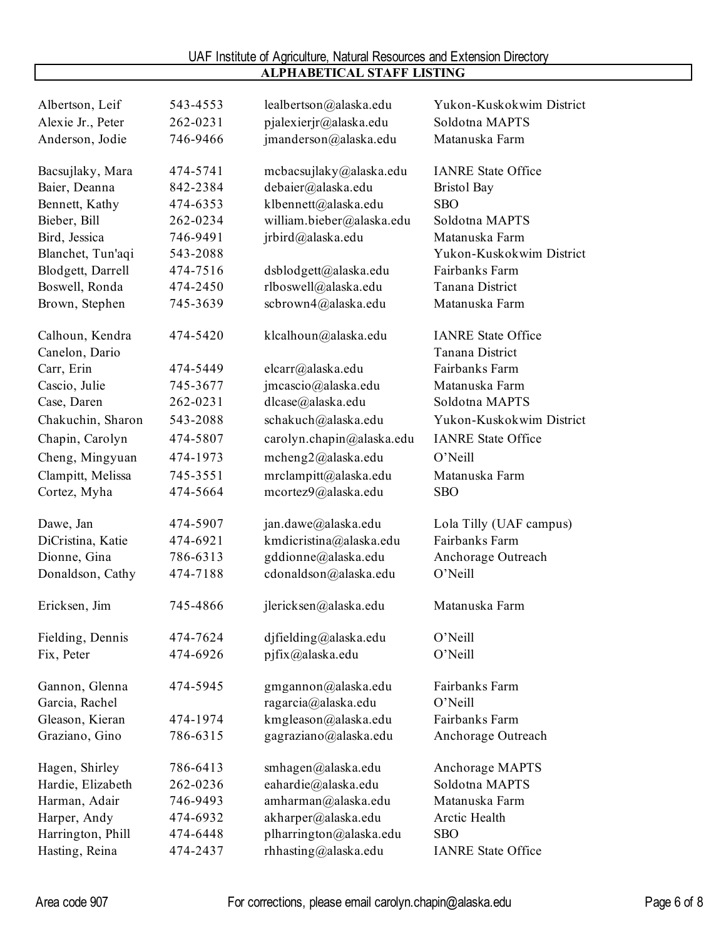| Albertson, Leif   | 543-4553 | lealbertson@alaska.edu    | Yukon-Kuskokwim District          |
|-------------------|----------|---------------------------|-----------------------------------|
| Alexie Jr., Peter | 262-0231 | pjalexierjr@alaska.edu    | Soldotna MAPTS                    |
| Anderson, Jodie   | 746-9466 | jmanderson@alaska.edu     | Matanuska Farm                    |
|                   |          |                           |                                   |
| Bacsujlaky, Mara  | 474-5741 | mcbacsujlaky@alaska.edu   | <b>IANRE State Office</b>         |
| Baier, Deanna     | 842-2384 | debaier@alaska.edu        | <b>Bristol Bay</b>                |
| Bennett, Kathy    | 474-6353 | klbennett@alaska.edu      | <b>SBO</b>                        |
| Bieber, Bill      | 262-0234 | william.bieber@alaska.edu | Soldotna MAPTS                    |
| Bird, Jessica     | 746-9491 | jrbird@alaska.edu         | Matanuska Farm                    |
| Blanchet, Tun'aqi | 543-2088 |                           | Yukon-Kuskokwim District          |
| Blodgett, Darrell | 474-7516 | dsblodgett@alaska.edu     | Fairbanks Farm                    |
| Boswell, Ronda    | 474-2450 | rlboswell@alaska.edu      | Tanana District                   |
| Brown, Stephen    | 745-3639 | scbrown4@alaska.edu       | Matanuska Farm                    |
| Calhoun, Kendra   | 474-5420 | klcalhoun@alaska.edu      | <b>IANRE State Office</b>         |
| Canelon, Dario    |          |                           | Tanana District                   |
| Carr, Erin        | 474-5449 | elcarr@alaska.edu         | Fairbanks Farm                    |
| Cascio, Julie     | 745-3677 | jmcascio@alaska.edu       | Matanuska Farm                    |
| Case, Daren       | 262-0231 | dlcase@alaska.edu         | Soldotna MAPTS                    |
| Chakuchin, Sharon | 543-2088 | schakuch@alaska.edu       | Yukon-Kuskokwim District          |
| Chapin, Carolyn   | 474-5807 | carolyn.chapin@alaska.edu | <b>IANRE State Office</b>         |
| Cheng, Mingyuan   | 474-1973 | mcheng2@alaska.edu        | O'Neill                           |
| Clampitt, Melissa | 745-3551 | mrclampitt@alaska.edu     | Matanuska Farm                    |
| Cortez, Myha      | 474-5664 | mcortez9@alaska.edu       | <b>SBO</b>                        |
| Dawe, Jan         | 474-5907 | jan.dawe@alaska.edu       | Lola Tilly (UAF campus)           |
| DiCristina, Katie | 474-6921 | kmdicristina@alaska.edu   | Fairbanks Farm                    |
| Dionne, Gina      | 786-6313 | gddionne@alaska.edu       | Anchorage Outreach                |
| Donaldson, Cathy  | 474-7188 | cdonaldson@alaska.edu     | O'Neill                           |
|                   |          |                           |                                   |
| Ericksen, Jim     | 745-4866 | jlericksen@alaska.edu     | Matanuska Farm                    |
| Fielding, Dennis  | 474-7624 | djfielding@alaska.edu     | O'Neill                           |
| Fix, Peter        | 474-6926 | pjfix@alaska.edu          | O'Neill                           |
| Gannon, Glenna    | 474-5945 | gmgannon@alaska.edu       | Fairbanks Farm                    |
| Garcia, Rachel    |          | ragarcia@alaska.edu       | O'Neill                           |
| Gleason, Kieran   | 474-1974 | kmgleason@alaska.edu      | Fairbanks Farm                    |
| Graziano, Gino    | 786-6315 | gagraziano@alaska.edu     | Anchorage Outreach                |
|                   |          |                           |                                   |
| Hagen, Shirley    | 786-6413 | smhagen@alaska.edu        | Anchorage MAPTS<br>Soldotna MAPTS |
| Hardie, Elizabeth | 262-0236 | eahardie@alaska.edu       |                                   |
| Harman, Adair     | 746-9493 | amharman@alaska.edu       | Matanuska Farm                    |
| Harper, Andy      | 474-6932 | akharper@alaska.edu       | Arctic Health                     |
| Harrington, Phill | 474-6448 | plharrington@alaska.edu   | <b>SBO</b>                        |
| Hasting, Reina    | 474-2437 | rhhasting@alaska.edu      | <b>IANRE State Office</b>         |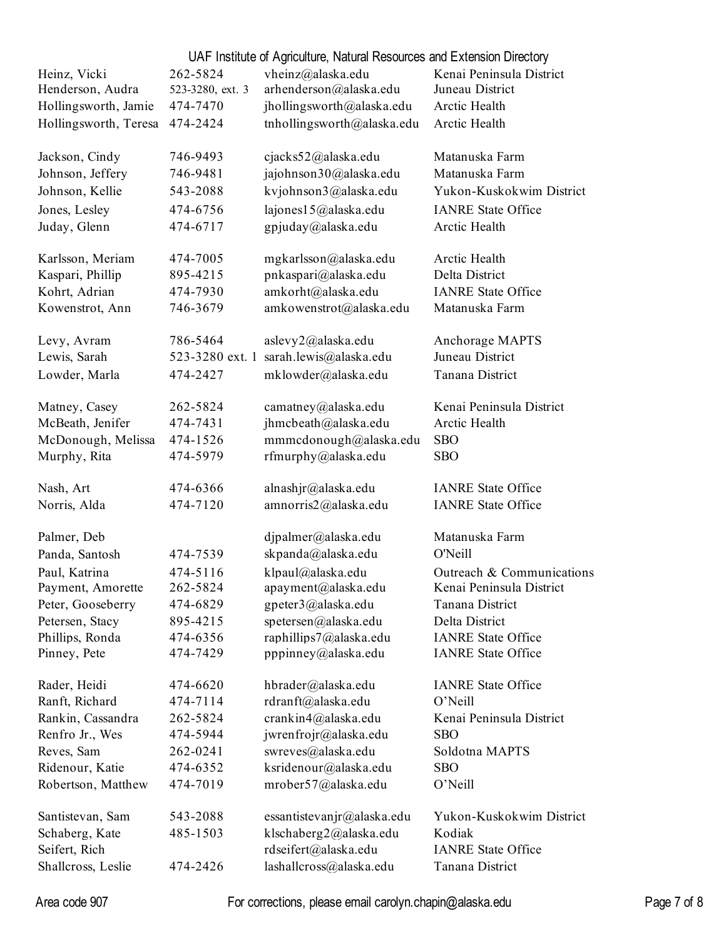|                       |                  | UAF Institute of Agriculture, Natural Resources and Extension Directory |                           |
|-----------------------|------------------|-------------------------------------------------------------------------|---------------------------|
| Heinz, Vicki          | 262-5824         | vheinz@alaska.edu                                                       | Kenai Peninsula District  |
| Henderson, Audra      | 523-3280, ext. 3 | arhenderson@alaska.edu                                                  | Juneau District           |
| Hollingsworth, Jamie  | 474-7470         | jhollingsworth@alaska.edu                                               | Arctic Health             |
| Hollingsworth, Teresa | 474-2424         | tnhollingsworth@alaska.edu                                              | Arctic Health             |
| Jackson, Cindy        | 746-9493         | cjacks52@alaska.edu                                                     | Matanuska Farm            |
| Johnson, Jeffery      | 746-9481         | jajohnson30@alaska.edu                                                  | Matanuska Farm            |
| Johnson, Kellie       | 543-2088         | kvjohnson3@alaska.edu                                                   | Yukon-Kuskokwim District  |
|                       |                  |                                                                         |                           |
| Jones, Lesley         | 474-6756         | lajones15@alaska.edu                                                    | <b>IANRE State Office</b> |
| Juday, Glenn          | 474-6717         | gpjuday@alaska.edu                                                      | Arctic Health             |
| Karlsson, Meriam      | 474-7005         | mgkarlsson@alaska.edu                                                   | Arctic Health             |
| Kaspari, Phillip      | 895-4215         | pnkaspari@alaska.edu                                                    | Delta District            |
| Kohrt, Adrian         | 474-7930         | amkorht@alaska.edu                                                      | <b>IANRE State Office</b> |
| Kowenstrot, Ann       | 746-3679         | amkowenstrot@alaska.edu                                                 | Matanuska Farm            |
| Levy, Avram           | 786-5464         | aslevy2@alaska.edu                                                      | Anchorage MAPTS           |
| Lewis, Sarah          | 523-3280 ext. 1  | sarah.lewis@alaska.edu                                                  | Juneau District           |
| Lowder, Marla         | 474-2427         | mklowder@alaska.edu                                                     | Tanana District           |
| Matney, Casey         | 262-5824         | camatney@alaska.edu                                                     | Kenai Peninsula District  |
| McBeath, Jenifer      | 474-7431         | jhmcbeath@alaska.edu                                                    | Arctic Health             |
| McDonough, Melissa    | 474-1526         | mmmcdonough@alaska.edu                                                  | <b>SBO</b>                |
| Murphy, Rita          | 474-5979         | rfmurphy@alaska.edu                                                     | <b>SBO</b>                |
| Nash, Art             | 474-6366         | alnashjr@alaska.edu                                                     | <b>IANRE State Office</b> |
|                       | 474-7120         |                                                                         | <b>IANRE State Office</b> |
| Norris, Alda          |                  | amnorris2@alaska.edu                                                    |                           |
| Palmer, Deb           |                  | djpalmer@alaska.edu                                                     | Matanuska Farm            |
| Panda, Santosh        | 474-7539         | skpanda@alaska.edu                                                      | O'Neill                   |
| Paul, Katrina         | 474-5116         | klpaul@alaska.edu                                                       | Outreach & Communications |
| Payment, Amorette     | 262-5824         | apayment@alaska.edu                                                     | Kenai Peninsula District  |
| Peter, Gooseberry     | 474-6829         | gpeter3@alaska.edu                                                      | Tanana District           |
| Petersen, Stacy       | 895-4215         | spetersen@alaska.edu                                                    | Delta District            |
| Phillips, Ronda       | 474-6356         | raphillips7@alaska.edu                                                  | <b>IANRE State Office</b> |
| Pinney, Pete          | 474-7429         | pppinney@alaska.edu                                                     | <b>IANRE State Office</b> |
| Rader, Heidi          | 474-6620         | hbrader@alaska.edu                                                      | <b>IANRE State Office</b> |
| Ranft, Richard        | 474-7114         | rdranft@alaska.edu                                                      | O'Neill                   |
| Rankin, Cassandra     | 262-5824         | crankin4@alaska.edu                                                     | Kenai Peninsula District  |
| Renfro Jr., Wes       | 474-5944         | jwrenfrojr@alaska.edu                                                   | <b>SBO</b>                |
| Reves, Sam            | 262-0241         | swreves@alaska.edu                                                      | Soldotna MAPTS            |
| Ridenour, Katie       | 474-6352         | ksridenour@alaska.edu                                                   | <b>SBO</b>                |
| Robertson, Matthew    | 474-7019         | mrober57@alaska.edu                                                     | O'Neill                   |
| Santistevan, Sam      | 543-2088         | essantistevanjr@alaska.edu                                              | Yukon-Kuskokwim District  |
| Schaberg, Kate        | 485-1503         | klschaberg2@alaska.edu                                                  | Kodiak                    |
| Seifert, Rich         |                  | rdseifert@alaska.edu                                                    | <b>IANRE State Office</b> |
| Shallcross, Leslie    | 474-2426         | lashallcross@alaska.edu                                                 | Tanana District           |

Area code 907 For corrections, please email carolyn.chapin@alaska.edu Page 7 of 8